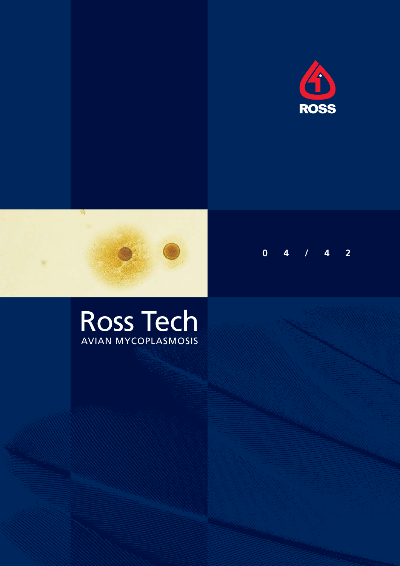





# Ross Tech AVIAN MYCOPLASMOSIS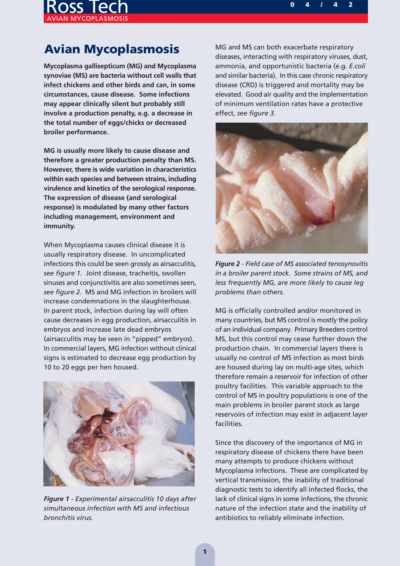

# **Avian Mycoplasmosis**

**Mycoplasma gallisepticum (MG) and Mycoplasma synoviae (MS) are bacteria without cell walls that infect chickens and other birds and can, in some circumstances, cause disease. Some infections may appear clinically silent but probably still involve a production penalty, e.g. a decrease in the total number of eggs/chicks or decreased broiler performance.**

**MG is usually more likely to cause disease and therefore a greater production penalty than MS. However, there is wide variation in characteristics within each species and between strains, including virulence and kinetics of the serological response. The expression of disease (and serological response) is modulated by many other factors including management, environment and immunity.**

When Mycoplasma causes clinical disease it is usually respiratory disease. In uncomplicated infections this could be seen grossly as airsacculitis, *see figure 1.* Joint disease, tracheitis, swollen sinuses and conjunctivitis are also sometimes seen, *see figure 2.* MS and MG infection in broilers will increase condemnations in the slaughterhouse. In parent stock, infection during lay will often cause decreases in egg production, airsacculitis in embryos and increase late dead embryos (airsacculitis may be seen in "pipped" embryos). In commercial layers, MG infection without clinical signs is estimated to decrease egg production by 10 to 20 eggs per hen housed.



*Figure 1 - Experimental airsacculitis 10 days after simultaneous infection with MS and infectious bronchitis virus.*

MG and MS can both exacerbate respiratory diseases, interacting with respiratory viruses, dust, ammonia, and opportunistic bacteria (e.g. *E.coli* and similar bacteria). In this case chronic respiratory disease (CRD) is triggered and mortality may be elevated. Good air quality and the implementation of minimum ventilation rates have a protective effect, *see figure 3.*



*Figure 2 - Field case of MS associated tenosynovitis in a broiler parent stock. Some strains of MS, and less frequently MG, are more likely to cause leg problems than others.*

MG is officially controlled and/or monitored in many countries, but MS control is mostly the policy of an individual company. Primary Breeders control MS, but this control may cease further down the production chain. In commercial layers there is usually no control of MS infection as most birds are housed during lay on multi-age sites, which therefore remain a reservoir for infection of other poultry facilities. This variable approach to the control of MS in poultry populations is one of the main problems in broiler parent stock as large reservoirs of infection may exist in adjacent layer facilities.

Since the discovery of the importance of MG in respiratory disease of chickens there have been many attempts to produce chickens without Mycoplasma infections. These are complicated by vertical transmission, the inability of traditional diagnostic tests to identify all infected flocks, the lack of clinical signs in some infections, the chronic nature of the infection state and the inability of antibiotics to reliably eliminate infection.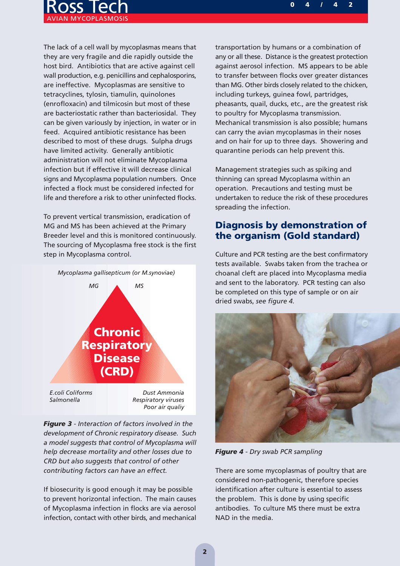

The lack of a cell wall by mycoplasmas means that they are very fragile and die rapidly outside the host bird. Antibiotics that are active against cell wall production, e.g. penicillins and cephalosporins, are ineffective. Mycoplasmas are sensitive to tetracyclines, tylosin, tiamulin, quinolones (enrofloxacin) and tilmicosin but most of these are bacteriostatic rather than bacteriosidal. They can be given variously by injection, in water or in feed. Acquired antibiotic resistance has been described to most of these drugs. Sulpha drugs have limited activity. Generally antibiotic administration will not eliminate Mycoplasma infection but if effective it will decrease clinical signs and Mycoplasma population numbers. Once infected a flock must be considered infected for life and therefore a risk to other uninfected flocks.

To prevent vertical transmission, eradication of MG and MS has been achieved at the Primary Breeder level and this is monitored continuously. The sourcing of Mycoplasma free stock is the first step in Mycoplasma control.



*Figure 3 - Interaction of factors involved in the development of Chronic respiratory disease. Such a model suggests that control of Mycoplasma will help decrease mortality and other losses due to CRD but also suggests that control of other contributing factors can have an effect.*

If biosecurity is good enough it may be possible to prevent horizontal infection. The main causes of Mycoplasma infection in flocks are via aerosol infection, contact with other birds, and mechanical

transportation by humans or a combination of any or all these. Distance is the greatest protection against aerosol infection. MS appears to be able to transfer between flocks over greater distances than MG. Other birds closely related to the chicken, including turkeys, guinea fowl, partridges, pheasants, quail, ducks, etc., are the greatest risk to poultry for Mycoplasma transmission. Mechanical transmission is also possible; humans can carry the avian mycoplasmas in their noses and on hair for up to three days. Showering and quarantine periods can help prevent this.

Management strategies such as spiking and thinning can spread Mycoplasma within an operation. Precautions and testing must be undertaken to reduce the risk of these procedures spreading the infection.

## **Diagnosis by demonstration of the organism (Gold standard)**

Culture and PCR testing are the best confirmatory tests available. Swabs taken from the trachea or choanal cleft are placed into Mycoplasma media and sent to the laboratory. PCR testing can also be completed on this type of sample or on air dried swabs, *see figure 4.*



*Figure 4 - Dry swab PCR sampling*

There are some mycoplasmas of poultry that are considered non-pathogenic, therefore species identification after culture is essential to assess the problem. This is done by using specific antibodies. To culture MS there must be extra NAD in the media.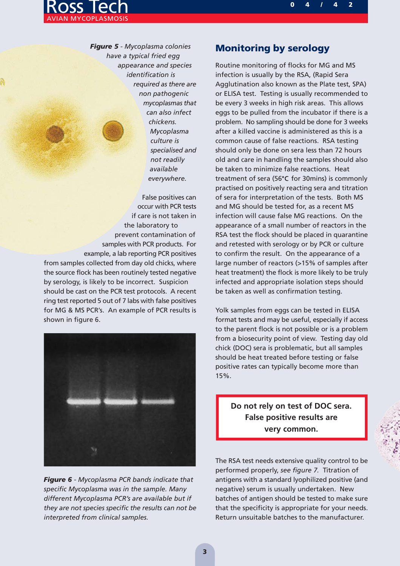

*Figure 5 - Mycoplasma colonies have a typical fried egg appearance and species identification is required as there are non pathogenic mycoplasmas that can also infect chickens. Mycoplasma culture is specialised and not readily available everywhere.*

False positives can occur with PCR tests if care is not taken in the laboratory to prevent contamination of samples with PCR products. For example, a lab reporting PCR positives from samples collected from day old chicks, where the source flock has been routinely tested negative by serology, is likely to be incorrect. Suspicion should be cast on the PCR test protocols. A recent ring test reported 5 out of 7 labs with false positives for MG & MS PCR's. An example of PCR results is shown in figure 6.



*Figure 6 - Mycoplasma PCR bands indicate that specific Mycoplasma was in the sample. Many different Mycoplasma PCR's are available but if they are not species specific the results can not be interpreted from clinical samples.*

### **Monitoring by serology**

Routine monitoring of flocks for MG and MS infection is usually by the RSA, (Rapid Sera Agglutination also known as the Plate test, SPA) or ELISA test. Testing is usually recommended to be every 3 weeks in high risk areas. This allows eggs to be pulled from the incubator if there is a problem. No sampling should be done for 3 weeks after a killed vaccine is administered as this is a common cause of false reactions. RSA testing should only be done on sera less than 72 hours old and care in handling the samples should also be taken to minimize false reactions. Heat treatment of sera (56 $\degree$ C for 30mins) is commonly practised on positively reacting sera and titration of sera for interpretation of the tests. Both MS and MG should be tested for, as a recent MS infection will cause false MG reactions. On the appearance of a small number of reactors in the RSA test the flock should be placed in quarantine and retested with serology or by PCR or culture to confirm the result. On the appearance of a large number of reactors (>15% of samples after heat treatment) the flock is more likely to be truly infected and appropriate isolation steps should be taken as well as confirmation testing.

Yolk samples from eggs can be tested in ELISA format tests and may be useful, especially if access to the parent flock is not possible or is a problem from a biosecurity point of view. Testing day old chick (DOC) sera is problematic, but all samples should be heat treated before testing or false positive rates can typically become more than 15%.

**Do not rely on test of DOC sera. False positive results are very common.**

The RSA test needs extensive quality control to be performed properly, *see figure 7.* Titration of antigens with a standard lyophilized positive (and negative) serum is usually undertaken. New batches of antigen should be tested to make sure that the specificity is appropriate for your needs. Return unsuitable batches to the manufacturer.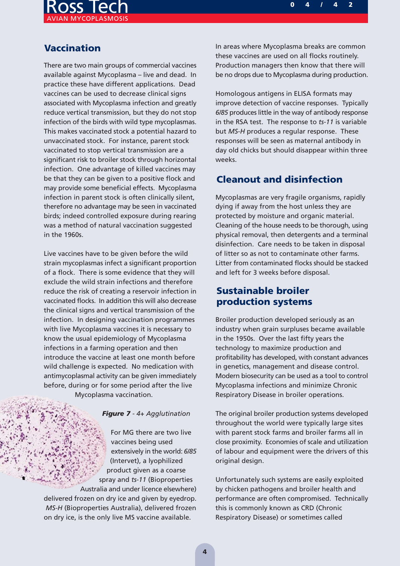

# **Vaccination**

There are two main groups of commercial vaccines available against Mycoplasma – live and dead. In practice these have different applications. Dead vaccines can be used to decrease clinical signs associated with Mycoplasma infection and greatly reduce vertical transmission, but they do not stop infection of the birds with wild type mycoplasmas. This makes vaccinated stock a potential hazard to unvaccinated stock. For instance, parent stock vaccinated to stop vertical transmission are a significant risk to broiler stock through horizontal infection. One advantage of killed vaccines may be that they can be given to a positive flock and may provide some beneficial effects. Mycoplasma infection in parent stock is often clinically silent, therefore no advantage may be seen in vaccinated birds; indeed controlled exposure during rearing was a method of natural vaccination suggested in the 1960s.

Live vaccines have to be given before the wild strain mycoplasmas infect a significant proportion of a flock. There is some evidence that they will exclude the wild strain infections and therefore reduce the risk of creating a reservoir infection in vaccinated flocks. In addition this will also decrease the clinical signs and vertical transmission of the infection. In designing vaccination programmes with live Mycoplasma vaccines it is necessary to know the usual epidemiology of Mycoplasma infections in a farming operation and then introduce the vaccine at least one month before wild challenge is expected. No medication with antimycoplasmal activity can be given immediately before, during or for some period after the live Mycoplasma vaccination.

#### *Figure 7 - 4+ Agglutination*

For MG there are two live vaccines being used extensively in the world: *6/85* (Intervet), a lyophilized product given as a coarse spray and *ts-11* (Bioproperties Australia and under licence elsewhere) delivered frozen on dry ice and given by eyedrop. *MS-H* (Bioproperties Australia), delivered frozen on dry ice, is the only live MS vaccine available.

In areas where Mycoplasma breaks are common these vaccines are used on all flocks routinely. Production managers then know that there will be no drops due to Mycoplasma during production.

Homologous antigens in ELISA formats may improve detection of vaccine responses. Typically *6/85* produces little in the way of antibody response in the RSA test. The response to *ts-11* is variable but *MS-H* produces a regular response. These responses will be seen as maternal antibody in day old chicks but should disappear within three weeks.

### **Cleanout and disinfection**

Mycoplasmas are very fragile organisms, rapidly dying if away from the host unless they are protected by moisture and organic material. Cleaning of the house needs to be thorough, using physical removal, then detergents and a terminal disinfection. Care needs to be taken in disposal of litter so as not to contaminate other farms. Litter from contaminated flocks should be stacked and left for 3 weeks before disposal.

## **Sustainable broiler production systems**

Broiler production developed seriously as an industry when grain surpluses became available in the 1950s. Over the last fifty years the technology to maximize production and profitability has developed, with constant advances in genetics, management and disease control. Modern biosecurity can be used as a tool to control Mycoplasma infections and minimize Chronic Respiratory Disease in broiler operations.

The original broiler production systems developed throughout the world were typically large sites with parent stock farms and broiler farms all in close proximity. Economies of scale and utilization of labour and equipment were the drivers of this original design.

Unfortunately such systems are easily exploited by chicken pathogens and broiler health and performance are often compromised. Technically this is commonly known as CRD (Chronic Respiratory Disease) or sometimes called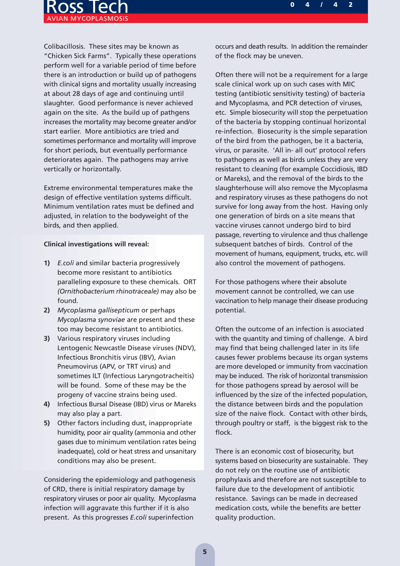

Colibacillosis. These sites may be known as "Chicken Sick Farms". Typically these operations perform well for a variable period of time before there is an introduction or build up of pathogens with clinical signs and mortality usually increasing at about 28 days of age and continuing until slaughter. Good performance is never achieved again on the site. As the build up of pathgens increases the mortality may become greater and/or start earlier. More antibiotics are tried and sometimes performance and mortality will improve for short periods, but eventually performance deteriorates again. The pathogens may arrive vertically or horizontally.

Extreme environmental temperatures make the design of effective ventilation systems difficult. Minimum ventilation rates must be defined and adjusted, in relation to the bodyweight of the birds, and then applied.

#### **Clinical investigations will reveal:**

- **1)** *E.coli* and similar bacteria progressively become more resistant to antibiotics paralleling exposure to these chemicals. ORT *(Ornithobacterium rhinotraceale)* may also be found.
- **2)** *Mycoplasma gallisepticum* or perhaps *Mycoplasma synoviae* are present and these too may become resistant to antibiotics.
- **3)** Various respiratory viruses including Lentogenic Newcastle Disease viruses (NDV), Infectious Bronchitis virus (IBV), Avian Pneumovirus (APV, or TRT virus) and sometimes ILT (Infectious Laryngotracheitis) will be found. Some of these may be the progeny of vaccine strains being used.
- **4)** Infectious Bursal Disease (IBD) virus or Mareks may also play a part.
- **5)** Other factors including dust, inappropriate humidity, poor air quality (ammonia and other gases due to minimum ventilation rates being inadequate), cold or heat stress and unsanitary conditions may also be present.

Considering the epidemiology and pathogenesis of CRD, there is initial respiratory damage by respiratory viruses or poor air quality. Mycoplasma infection will aggravate this further if it is also present. As this progresses *E.coli* superinfection

occurs and death results. In addition the remainder of the flock may be uneven.

Often there will not be a requirement for a large scale clinical work up on such cases with MIC testing (antibiotic sensitivity testing) of bacteria and Mycoplasma, and PCR detection of viruses, etc. Simple biosecurity will stop the perpetuation of the bacteria by stopping continual horizontal re-infection. Biosecurity is the simple separation of the bird from the pathogen, be it a bacteria, virus, or parasite. 'All in- all out' protocol refers to pathogens as well as birds unless they are very resistant to cleaning (for example Coccidiosis, IBD or Mareks), and the removal of the birds to the slaughterhouse will also remove the Mycoplasma and respiratory viruses as these pathogens do not survive for long away from the host. Having only one generation of birds on a site means that vaccine viruses cannot undergo bird to bird passage, reverting to virulence and thus challenge subsequent batches of birds. Control of the movement of humans, equipment, trucks, etc. will also control the movement of pathogens.

For those pathogens where their absolute movement cannot be controlled, we can use vaccination to help manage their disease producing potential.

Often the outcome of an infection is associated with the quantity and timing of challenge. A bird may find that being challenged later in its life causes fewer problems because its organ systems are more developed or immunity from vaccination may be induced. The risk of horizontal transmission for those pathogens spread by aerosol will be influenced by the size of the infected population, the distance between birds and the population size of the naive flock. Contact with other birds, through poultry or staff, is the biggest risk to the flock.

There is an economic cost of biosecurity, but systems based on biosecurity are sustainable. They do not rely on the routine use of antibiotic prophylaxis and therefore are not susceptible to failure due to the development of antibiotic resistance. Savings can be made in decreased medication costs, while the benefits are better quality production.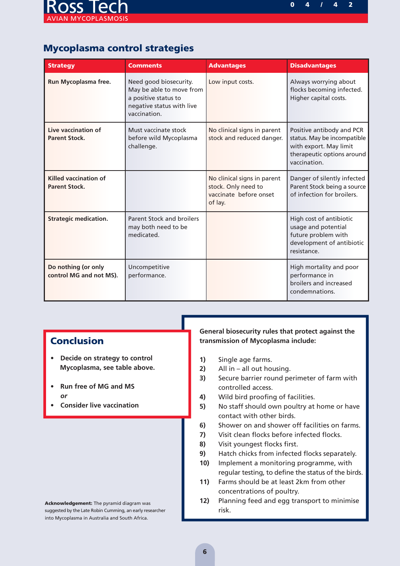

# **Mycoplasma control strategies**

| <b>Strategy</b>                                      | <b>Comments</b>                                                                                                         | <b>Advantages</b>                                                                       | <b>Disadvantages</b>                                                                                                             |
|------------------------------------------------------|-------------------------------------------------------------------------------------------------------------------------|-----------------------------------------------------------------------------------------|----------------------------------------------------------------------------------------------------------------------------------|
| Run Mycoplasma free.                                 | Need good biosecurity.<br>May be able to move from<br>a positive status to<br>negative status with live<br>vaccination. | Low input costs.                                                                        | Always worrying about<br>flocks becoming infected.<br>Higher capital costs.                                                      |
| Live vaccination of<br><b>Parent Stock.</b>          | Must vaccinate stock<br>before wild Mycoplasma<br>challenge.                                                            | No clinical signs in parent<br>stock and reduced danger.                                | Positive antibody and PCR<br>status. May be incompatible<br>with export. May limit<br>therapeutic options around<br>vaccination. |
| <b>Killed vaccination of</b><br><b>Parent Stock.</b> |                                                                                                                         | No clinical signs in parent<br>stock. Only need to<br>vaccinate before onset<br>of lay. | Danger of silently infected<br>Parent Stock being a source<br>of infection for broilers.                                         |
| <b>Strategic medication.</b>                         | <b>Parent Stock and broilers</b><br>may both need to be<br>medicated.                                                   |                                                                                         | High cost of antibiotic<br>usage and potential<br>future problem with<br>development of antibiotic<br>resistance.                |
| Do nothing (or only<br>control MG and not MS).       | Uncompetitive<br>performance.                                                                                           |                                                                                         | High mortality and poor<br>performance in<br>broilers and increased<br>condemnations.                                            |

# **Conclusion**

- **Decide on strategy to control Mycoplasma, see table above.**
- **Run free of MG and MS** *or*
- **Consider live vaccination**

#### **General biosecurity rules that protect against the transmission of Mycoplasma include:**

- **1)** Single age farms.
- **2)** All in all out housing.
- **3)** Secure barrier round perimeter of farm with controlled access.
- **4)** Wild bird proofing of facilities.
- **5)** No staff should own poultry at home or have contact with other birds.
- **6)** Shower on and shower off facilities on farms.
- **7)** Visit clean flocks before infected flocks.
- **8)** Visit youngest flocks first.
- **9)** Hatch chicks from infected flocks separately.
- **10)** Implement a monitoring programme, with regular testing, to define the status of the birds.
- **11)** Farms should be at least 2km from other concentrations of poultry.
- **12)** Planning feed and egg transport to minimise risk.

**Acknowledgement:** The pyramid diagram was suggested by the Late Robin Cumming, an early researcher into Mycoplasma in Australia and South Africa.